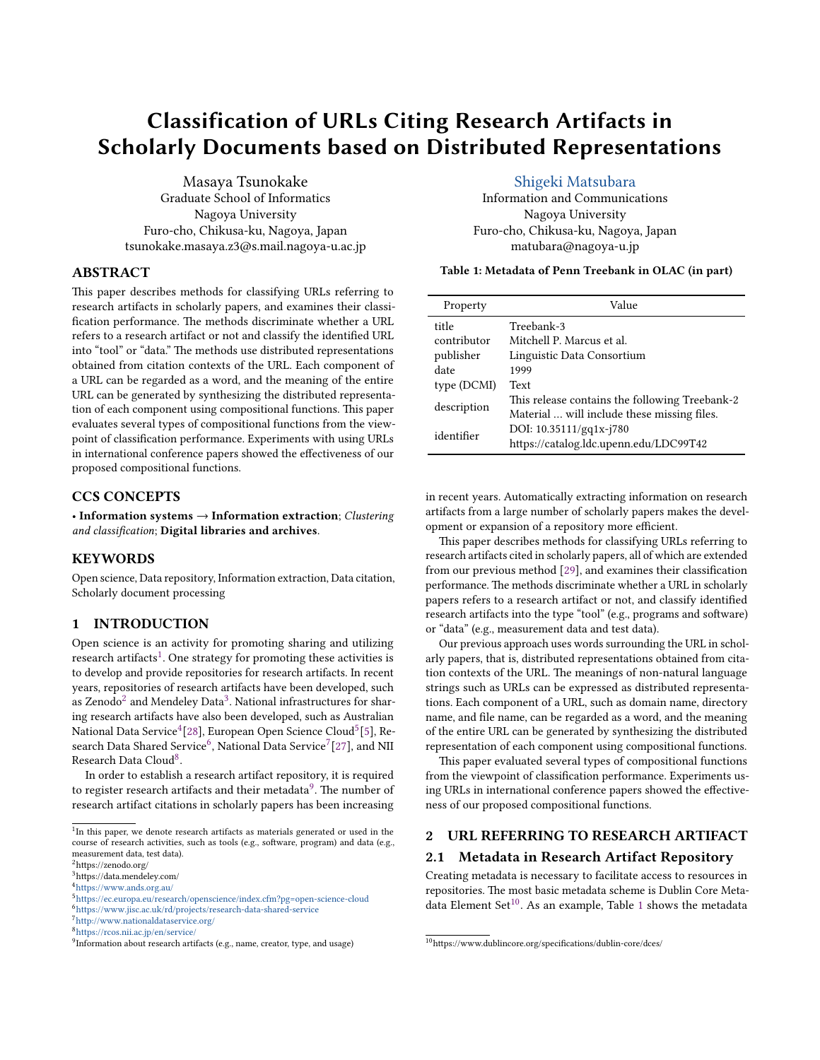# Classification of URLs Citing Research Artifacts in Scholarly Documents based on Distributed Representations

Masaya Tsunokake Graduate School of Informatics Nagoya University Furo-cho, Chikusa-ku, Nagoya, Japan tsunokake.masaya.z3@s.mail.nagoya-u.ac.jp

### ABSTRACT

This paper describes methods for classifying URLs referring to research artifacts in scholarly papers, and examines their classification performance. The methods discriminate whether a URL refers to a research artifact or not and classify the identified URL into "tool" or "data." The methods use distributed representations obtained from citation contexts of the URL. Each component of a URL can be regarded as a word, and the meaning of the entire URL can be generated by synthesizing the distributed representation of each component using compositional functions. This paper evaluates several types of compositional functions from the viewpoint of classification performance. Experiments with using URLs in international conference papers showed the effectiveness of our proposed compositional functions.

### CCS CONCEPTS

• Information systems → Information extraction; Clustering and classification; Digital libraries and archives.

### **KEYWORDS**

Open science, Data repository, Information extraction, Data citation, Scholarly document processing

#### 1 INTRODUCTION

Open science is an activity for promoting sharing and utilizing research artifacts<sup>[1](#page-0-0)</sup>. One strategy for promoting these activities is to develop and provide repositories for research artifacts. In recent years, repositories of research artifacts have been developed, such as Zenodo $^2$  $^2$  and Mendeley Data $^3$  $^3$ . National infrastructures for sharing research artifacts have also been developed, such as Australian National Data Service<sup>[4](#page-0-3)</sup>[\[28\]](#page-5-0), European Open Science Cloud<sup>[5](#page-0-4)</sup>[\[5\]](#page-5-1), Re-search Data Shared Service<sup>[6](#page-0-5)</sup>, National Data Service<sup>[7](#page-0-6)</sup>[\[27\]](#page-5-2), and NII Research Data Cloud<sup>[8](#page-0-7)</sup>.

In order to establish a research artifact repository, it is required to register research artifacts and their metadata $^9$  $^9$ . The number of research artifact citations in scholarly papers has been increasing

### [Shigeki Matsubara](https://orcid.org/0000−0003−0416−3635)

Information and Communications Nagoya University Furo-cho, Chikusa-ku, Nagoya, Japan matubara@nagoya-u.jp

<span id="page-0-10"></span>Table 1: Metadata of Penn Treebank in OLAC (in part)

| Property             | Value                                                                                         |
|----------------------|-----------------------------------------------------------------------------------------------|
| title<br>contributor | Treebank-3<br>Mitchell P. Marcus et al.                                                       |
| publisher            | Linguistic Data Consortium                                                                    |
| date<br>type (DCMI)  | 1999<br>Text                                                                                  |
| description          | This release contains the following Treebank-2<br>Material  will include these missing files. |
| identifier           | DOI: 10.35111/gq1x-j780<br>https://catalog.ldc.upenn.edu/LDC99T42                             |

in recent years. Automatically extracting information on research artifacts from a large number of scholarly papers makes the development or expansion of a repository more efficient.

This paper describes methods for classifying URLs referring to research artifacts cited in scholarly papers, all of which are extended from our previous method [\[29\]](#page-5-3), and examines their classification performance. The methods discriminate whether a URL in scholarly papers refers to a research artifact or not, and classify identified research artifacts into the type "tool" (e.g., programs and software) or "data" (e.g., measurement data and test data).

Our previous approach uses words surrounding the URL in scholarly papers, that is, distributed representations obtained from citation contexts of the URL. The meanings of non-natural language strings such as URLs can be expressed as distributed representations. Each component of a URL, such as domain name, directory name, and file name, can be regarded as a word, and the meaning of the entire URL can be generated by synthesizing the distributed representation of each component using compositional functions.

This paper evaluated several types of compositional functions from the viewpoint of classification performance. Experiments using URLs in international conference papers showed the effectiveness of our proposed compositional functions.

### 2 URL REFERRING TO RESEARCH ARTIFACT

#### 2.1 Metadata in Research Artifact Repository

Creating metadata is necessary to facilitate access to resources in repositories. The most basic metadata scheme is Dublin Core Meta-data Element Set<sup>[10](#page-0-9)</sup>. As an example, Table [1](#page-0-10) shows the metadata

<span id="page-0-0"></span><sup>&</sup>lt;sup>1</sup>In this paper, we denote research artifacts as materials generated or used in the course of research activities, such as tools (e.g., software, program) and data (e.g., measurement data, test data).

<span id="page-0-1"></span> $^2$ https://zenodo.org/

<span id="page-0-2"></span><sup>3</sup>https://data.mendeley.com/

<span id="page-0-3"></span><sup>4</sup><https://www.ands.org.au/>

<span id="page-0-4"></span><sup>5</sup><https://ec.europa.eu/research/openscience/index.cfm?pg=open-science-cloud>

<span id="page-0-5"></span><sup>6</sup><https://www.jisc.ac.uk/rd/projects/research-data-shared-service>

<span id="page-0-6"></span> $7$ <http://www.nationaldataservice.org/>  $\,$ 

<span id="page-0-7"></span><sup>8</sup><https://rcos.nii.ac.jp/en/service/>

<span id="page-0-8"></span><sup>&</sup>lt;sup>9</sup>Information about research artifacts (e.g., name, creator, type, and usage)

<span id="page-0-9"></span> $^{10}\rm{https://www.dublincore.org/specifications/dublin-core/desc/}$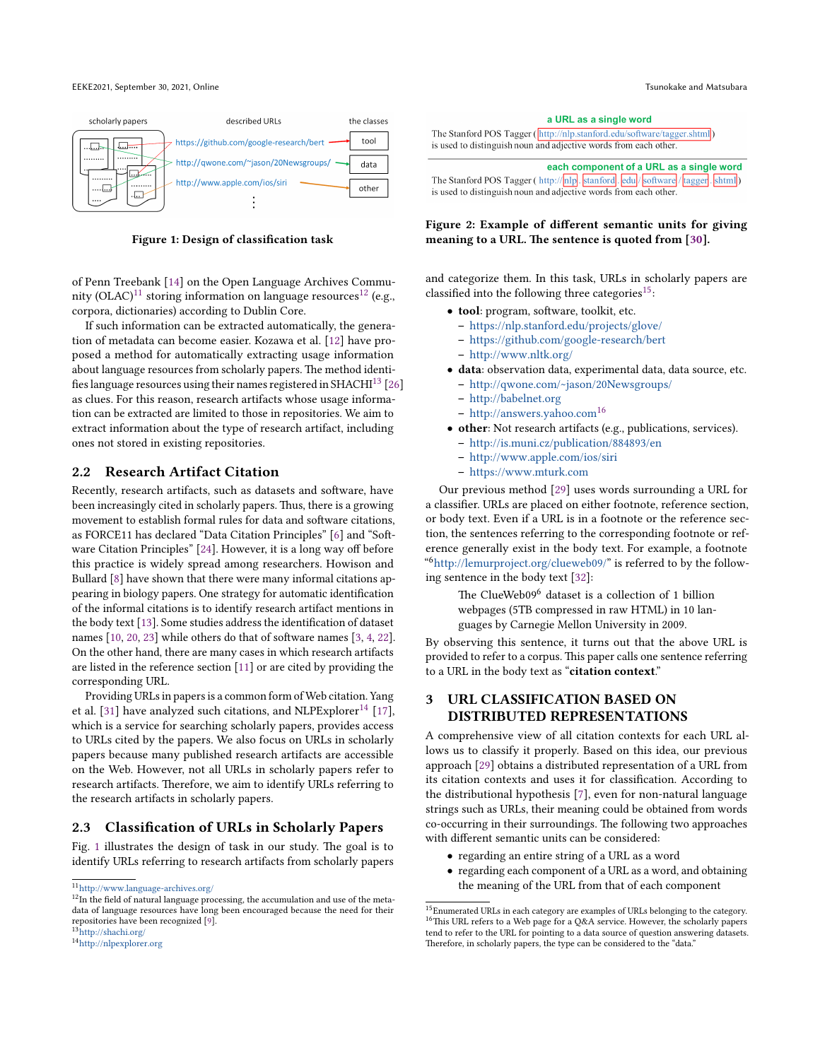<span id="page-1-4"></span>

Figure 1: Design of classification task

of Penn Treebank [\[14\]](#page-5-4) on the Open Language Archives Commu-nity (OLAC)<sup>[11](#page-1-0)</sup> storing information on language resources<sup>[12](#page-1-1)</sup> (e.g., corpora, dictionaries) according to Dublin Core.

If such information can be extracted automatically, the generation of metadata can become easier. Kozawa et al. [\[12\]](#page-5-5) have proposed a method for automatically extracting usage information about language resources from scholarly papers. The method identi-fies language resources using their names registered in SHACHI<sup>[13](#page-1-2)</sup> [\[26\]](#page-5-6) as clues. For this reason, research artifacts whose usage information can be extracted are limited to those in repositories. We aim to extract information about the type of research artifact, including ones not stored in existing repositories.

### 2.2 Research Artifact Citation

Recently, research artifacts, such as datasets and software, have been increasingly cited in scholarly papers. Thus, there is a growing movement to establish formal rules for data and software citations, as FORCE11 has declared "Data Citation Principles" [\[6\]](#page-5-7) and "Software Citation Principles" [\[24\]](#page-5-8). However, it is a long way off before this practice is widely spread among researchers. Howison and Bullard [\[8\]](#page-5-9) have shown that there were many informal citations appearing in biology papers. One strategy for automatic identification of the informal citations is to identify research artifact mentions in the body text [\[13\]](#page-5-10). Some studies address the identification of dataset names [\[10,](#page-5-11) [20,](#page-5-12) [23\]](#page-5-13) while others do that of software names [\[3,](#page-5-14) [4,](#page-5-15) [22\]](#page-5-16). On the other hand, there are many cases in which research artifacts are listed in the reference section [\[11\]](#page-5-17) or are cited by providing the corresponding URL.

Providing URLs in papers is a common form of Web citation. Yang et al. [\[31\]](#page-5-18) have analyzed such citations, and NLPExplorer<sup>[14](#page-1-3)</sup> [\[17\]](#page-5-19), which is a service for searching scholarly papers, provides access to URLs cited by the papers. We also focus on URLs in scholarly papers because many published research artifacts are accessible on the Web. However, not all URLs in scholarly papers refer to research artifacts. Therefore, we aim to identify URLs referring to the research artifacts in scholarly papers.

#### <span id="page-1-9"></span>2.3 Classification of URLs in Scholarly Papers

Fig. [1](#page-1-4) illustrates the design of task in our study. The goal is to identify URLs referring to research artifacts from scholarly papers

<span id="page-1-3"></span><span id="page-1-2"></span>

<span id="page-1-7"></span>

| a URL as a single word                                                         |  |  |  |  |  |  |
|--------------------------------------------------------------------------------|--|--|--|--|--|--|
| The Stanford POS Tagger (http://nlp.stanford.edu/software/tagger.shtml)        |  |  |  |  |  |  |
| s used to distinguish noun and adjective words from each other.                |  |  |  |  |  |  |
| each component of a URL as a single word                                       |  |  |  |  |  |  |
|                                                                                |  |  |  |  |  |  |
| The Stanford POS Tagger (http://nlp. stanford. edu / software / tagger. shtml) |  |  |  |  |  |  |
| s used to distinguish noun and adjective words from each other.                |  |  |  |  |  |  |

### Figure 2: Example of different semantic units for giving meaning to a URL. The sentence is quoted from [\[30\]](#page-5-21).

and categorize them. In this task, URLs in scholarly papers are classified into the following three categories<sup>[15](#page-1-5)</sup>:

- tool: program, software, toolkit, etc.
	- <https://nlp.stanford.edu/projects/glove/>
	- <https://github.com/google-research/bert>
	- <http://www.nltk.org/>
- data: observation data, experimental data, data source, etc. – <http://qwone.com/~jason/20Newsgroups/>
	- <http://babelnet.org>
	- <http://answers.yahoo.com>[16](#page-1-6)
- other: Not research artifacts (e.g., publications, services).
	- <http://is.muni.cz/publication/884893/en>
	- <http://www.apple.com/ios/siri>
	- <https://www.mturk.com>

Our previous method [\[29\]](#page-5-3) uses words surrounding a URL for a classifier. URLs are placed on either footnote, reference section, or body text. Even if a URL is in a footnote or the reference section, the sentences referring to the corresponding footnote or reference generally exist in the body text. For example, a footnote " <sup>6</sup>[http://lemurproject.org/clueweb09/"](http://lemurproject.org/clueweb09/) is referred to by the following sentence in the body text [\[32\]](#page-5-22):

> The ClueWeb09 $^6$  dataset is a collection of 1 billion webpages (5TB compressed in raw HTML) in 10 languages by Carnegie Mellon University in 2009.

By observing this sentence, it turns out that the above URL is provided to refer to a corpus. This paper calls one sentence referring to a URL in the body text as "citation context."

### <span id="page-1-8"></span>3 URL CLASSIFICATION BASED ON DISTRIBUTED REPRESENTATIONS

A comprehensive view of all citation contexts for each URL allows us to classify it properly. Based on this idea, our previous approach [\[29\]](#page-5-3) obtains a distributed representation of a URL from its citation contexts and uses it for classification. According to the distributional hypothesis [\[7\]](#page-5-23), even for non-natural language strings such as URLs, their meaning could be obtained from words co-occurring in their surroundings. The following two approaches with different semantic units can be considered:

- regarding an entire string of a URL as a word
- regarding each component of a URL as a word, and obtaining the meaning of the URL from that of each component

<span id="page-1-0"></span> $\rm ^{11}$  <http://www.language-archives.org/>

<span id="page-1-1"></span> $12$ In the field of natural language processing, the accumulation and use of the metadata of language resources have long been encouraged because the need for their repositories have been recognized [\[9\]](#page-5-20).<br><sup>13</sup><http://shachi.org/>

<sup>14</sup><http://nlpexplorer.org>

<span id="page-1-6"></span><span id="page-1-5"></span> $^{15}\mathrm{Enumerated}$  URLs in each category are examples of URLs belonging to the category. <sup>16</sup>This URL refers to a Web page for a Q&A service. However, the scholarly papers tend to refer to the URL for pointing to a data source of question answering datasets. Therefore, in scholarly papers, the type can be considered to the "data."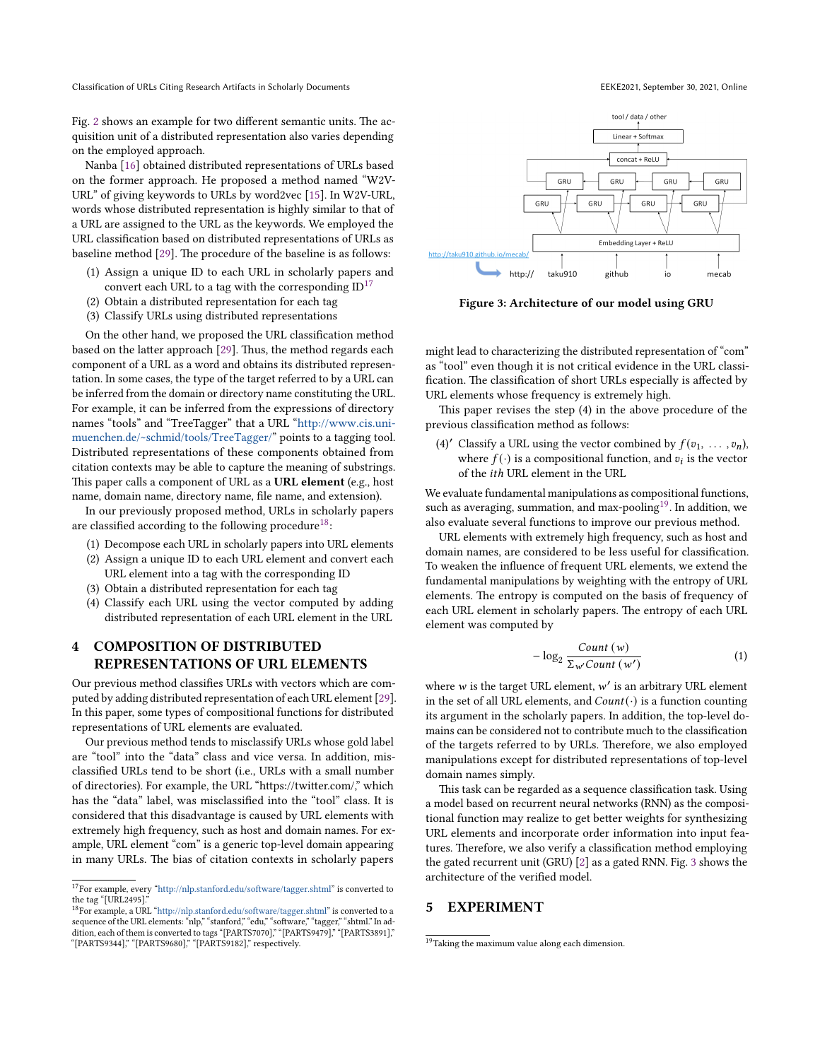Classification of URLs Citing Research Artifacts in Scholarly Documents EEKE2021, September 30, 2021, Online

Fig. [2](#page-1-7) shows an example for two different semantic units. The acquisition unit of a distributed representation also varies depending on the employed approach.

Nanba [\[16\]](#page-5-24) obtained distributed representations of URLs based on the former approach. He proposed a method named "W2V-URL" of giving keywords to URLs by word2vec [\[15\]](#page-5-25). In W2V-URL, words whose distributed representation is highly similar to that of a URL are assigned to the URL as the keywords. We employed the URL classification based on distributed representations of URLs as baseline method [\[29\]](#page-5-3). The procedure of the baseline is as follows:

- (1) Assign a unique ID to each URL in scholarly papers and convert each URL to a tag with the corresponding  $ID^{17}$  $ID^{17}$  $ID^{17}$
- (2) Obtain a distributed representation for each tag
- (3) Classify URLs using distributed representations

On the other hand, we proposed the URL classification method based on the latter approach [\[29\]](#page-5-3). Thus, the method regards each component of a URL as a word and obtains its distributed representation. In some cases, the type of the target referred to by a URL can be inferred from the domain or directory name constituting the URL. For example, it can be inferred from the expressions of directory names "tools" and "TreeTagger" that a URL ["http://www.cis.uni](http://www.cis.uni-muenchen.de/~schmid/tools/TreeTagger/)[muenchen.de/~schmid/tools/TreeTagger/"](http://www.cis.uni-muenchen.de/~schmid/tools/TreeTagger/) points to a tagging tool. Distributed representations of these components obtained from citation contexts may be able to capture the meaning of substrings. This paper calls a component of URL as a URL element (e.g., host name, domain name, directory name, file name, and extension).

In our previously proposed method, URLs in scholarly papers are classified according to the following procedure<sup>[18](#page-2-1)</sup>:

- (1) Decompose each URL in scholarly papers into URL elements
- (2) Assign a unique ID to each URL element and convert each URL element into a tag with the corresponding ID
- (3) Obtain a distributed representation for each tag
- (4) Classify each URL using the vector computed by adding distributed representation of each URL element in the URL

### <span id="page-2-4"></span>4 COMPOSITION OF DISTRIBUTED REPRESENTATIONS OF URL ELEMENTS

Our previous method classifies URLs with vectors which are computed by adding distributed representation of each URL element [\[29\]](#page-5-3). In this paper, some types of compositional functions for distributed representations of URL elements are evaluated.

Our previous method tends to misclassify URLs whose gold label are "tool" into the "data" class and vice versa. In addition, misclassified URLs tend to be short (i.e., URLs with a small number of directories). For example, the URL "https://twitter.com/," which has the "data" label, was misclassified into the "tool" class. It is considered that this disadvantage is caused by URL elements with extremely high frequency, such as host and domain names. For example, URL element "com" is a generic top-level domain appearing in many URLs. The bias of citation contexts in scholarly papers

<span id="page-2-3"></span>

Figure 3: Architecture of our model using GRU

might lead to characterizing the distributed representation of "com" as "tool" even though it is not critical evidence in the URL classification. The classification of short URLs especially is affected by URL elements whose frequency is extremely high.

This paper revises the step (4) in the above procedure of the previous classification method as follows:

(4)' Classify a URL using the vector combined by  $f(v_1, \ldots, v_n)$ , where  $f(\cdot)$  is a compositional function, and  $v_i$  is the vector of the *ith* URL element in the URL

We evaluate fundamental manipulations as compositional functions, such as averaging, summation, and max-pooling  $^{19}.$  $^{19}.$  $^{19}.$  In addition, we also evaluate several functions to improve our previous method.

URL elements with extremely high frequency, such as host and domain names, are considered to be less useful for classification. To weaken the influence of frequent URL elements, we extend the fundamental manipulations by weighting with the entropy of URL elements. The entropy is computed on the basis of frequency of each URL element in scholarly papers. The entropy of each URL element was computed by

$$
-\log_2 \frac{Count(w)}{\sum_{w'} Count(w')} \tag{1}
$$

where  $w$  is the target URL element,  $w'$  is an arbitrary URL element in the set of all URL elements, and  $Count(\cdot)$  is a function counting its argument in the scholarly papers. In addition, the top-level domains can be considered not to contribute much to the classification of the targets referred to by URLs. Therefore, we also employed manipulations except for distributed representations of top-level domain names simply.

This task can be regarded as a sequence classification task. Using a model based on recurrent neural networks (RNN) as the compositional function may realize to get better weights for synthesizing URL elements and incorporate order information into input features. Therefore, we also verify a classification method employing the gated recurrent unit (GRU) [\[2\]](#page-5-26) as a gated RNN. Fig. [3](#page-2-3) shows the architecture of the verified model.

### 5 EXPERIMENT

<span id="page-2-0"></span> $^{17}\rm{For}$  example, every ["http://nlp.stanford.edu/software/tagger.shtml"](http://nlp.stanford.edu/software/tagger.shtml) is converted to

<span id="page-2-1"></span>the tag "[URL2495]."<br><sup>18</sup>For example, a URL ["http://nlp.stanford.edu/software/tagger.shtml"](http://nlp.stanford.edu/software/tagger.shtml) is converted to a sequence of the URL elements: "nlp," "stanford," "edu," "software," "tagger," "shtml." In addition, each of them is converted to tags "[PARTS7070]," "[PARTS9479]," "[PARTS3891]," "[PARTS9344]," "[PARTS9680]," "[PARTS9182]," respectively.

<span id="page-2-2"></span><sup>&</sup>lt;sup>19</sup>Taking the maximum value along each dimension.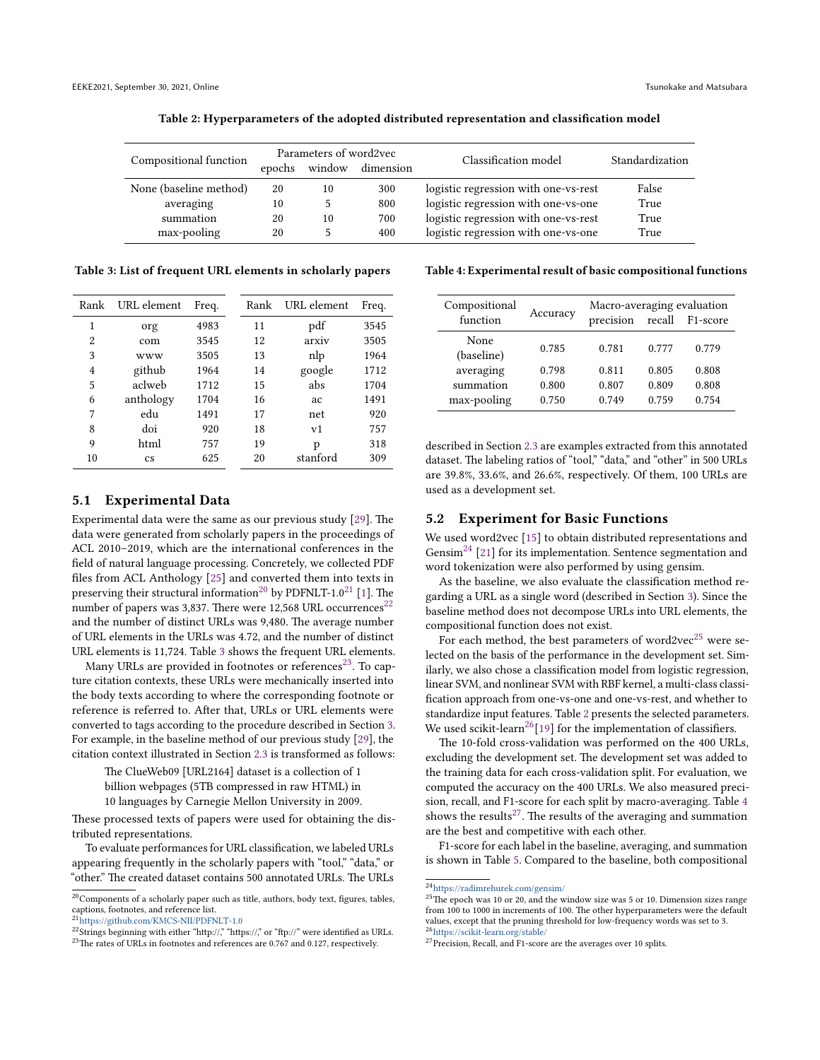<span id="page-3-7"></span>

| Compositional function | epochs | Parameters of word2vec<br>window<br>dimension |     | Classification model                 | Standardization |  |
|------------------------|--------|-----------------------------------------------|-----|--------------------------------------|-----------------|--|
| None (baseline method) | 20     | 10                                            | 300 | logistic regression with one-vs-rest | False           |  |
| averaging              | 10     |                                               | 800 | logistic regression with one-vs-one  | True            |  |
| summation              | 20     | 10                                            | 700 | logistic regression with one-vs-rest | True            |  |
| max-pooling            | 20     | 5                                             | 400 | logistic regression with one-vs-one  | True            |  |

Table 2: Hyperparameters of the adopted distributed representation and classification model

<span id="page-3-3"></span>Table 3: List of frequent URL elements in scholarly papers

| Rank | URL element | Freq. | Rank | URL element | Freq. |
|------|-------------|-------|------|-------------|-------|
| 1    | org         | 4983  | 11   | pdf         | 3545  |
| 2    | com         | 3545  | 12   | arxiy       | 3505  |
| 3    | www         | 3505  | 13   | nlp         | 1964  |
| 4    | github      | 1964  | 14   | google      | 1712  |
| 5    | aclweb      | 1712  | 15   | abs         | 1704  |
| 6    | anthology   | 1704  | 16   | ac          | 1491  |
| 7    | edu         | 1491  | 17   | net         | 920   |
| 8    | doi         | 920   | 18   | v1          | 757   |
| 9    | html        | 757   | 19   | p           | 318   |
| 10   | <b>CS</b>   | 625   | 20   | stanford    | 309   |

#### 5.1 Experimental Data

Experimental data were the same as our previous study [\[29\]](#page-5-3). The data were generated from scholarly papers in the proceedings of ACL 2010–2019, which are the international conferences in the field of natural language processing. Concretely, we collected PDF files from ACL Anthology [\[25\]](#page-5-27) and converted them into texts in preserving their structural information<sup>[20](#page-3-0)</sup> by PDFNLT-1.0<sup>[21](#page-3-1)</sup> [\[1\]](#page-5-28). The number of papers was 3,837. There were 12,568 URL occurrences<sup>[22](#page-3-2)</sup> and the number of distinct URLs was 9,480. The average number of URL elements in the URLs was 4.72, and the number of distinct URL elements is 11,724. Table [3](#page-3-3) shows the frequent URL elements.

Many URLs are provided in footnotes or references<sup>[23](#page-3-4)</sup>. To capture citation contexts, these URLs were mechanically inserted into the body texts according to where the corresponding footnote or reference is referred to. After that, URLs or URL elements were converted to tags according to the procedure described in Section [3.](#page-1-8) For example, in the baseline method of our previous study [\[29\]](#page-5-3), the citation context illustrated in Section [2.3](#page-1-9) is transformed as follows:

The ClueWeb09 [URL2164] dataset is a collection of 1 billion webpages (5TB compressed in raw HTML) in 10 languages by Carnegie Mellon University in 2009.

These processed texts of papers were used for obtaining the distributed representations.

To evaluate performances for URL classification, we labeled URLs appearing frequently in the scholarly papers with "tool," "data," or "other." The created dataset contains 500 annotated URLs. The URLs

<span id="page-3-9"></span>Table 4: Experimental result of basic compositional functions

| Compositional<br>function | Accuracy | Macro-averaging evaluation<br>precision | recall | F1-score |
|---------------------------|----------|-----------------------------------------|--------|----------|
| None<br>(baseline)        | 0.785    | 0.781                                   | 0.777  | 0.779    |
| averaging                 | 0.798    | 0.811                                   | 0.805  | 0.808    |
| summation                 | 0.800    | 0.807                                   | 0.809  | 0.808    |
| max-pooling               | 0.750    | 0.749                                   | 0.759  | 0.754    |

described in Section [2.3](#page-1-9) are examples extracted from this annotated dataset. The labeling ratios of "tool," "data," and "other" in 500 URLs are 39.8%, 33.6%, and 26.6%, respectively. Of them, 100 URLs are used as a development set.

### <span id="page-3-11"></span>5.2 Experiment for Basic Functions

We used word2vec [\[15\]](#page-5-25) to obtain distributed representations and Gensim<sup>[24](#page-3-5)</sup> [\[21\]](#page-5-29) for its implementation. Sentence segmentation and word tokenization were also performed by using gensim.

As the baseline, we also evaluate the classification method regarding a URL as a single word (described in Section [3\)](#page-1-8). Since the baseline method does not decompose URLs into URL elements, the compositional function does not exist.

For each method, the best parameters of word2ve $c^{25}$  $c^{25}$  $c^{25}$  were selected on the basis of the performance in the development set. Similarly, we also chose a classification model from logistic regression, linear SVM, and nonlinear SVM with RBF kernel, a multi-class classification approach from one-vs-one and one-vs-rest, and whether to standardize input features. Table [2](#page-3-7) presents the selected parameters. We used scikit-learn<sup>[26](#page-3-8)</sup>[\[19\]](#page-5-30) for the implementation of classifiers.

The 10-fold cross-validation was performed on the 400 URLs, excluding the development set. The development set was added to the training data for each cross-validation split. For evaluation, we computed the accuracy on the 400 URLs. We also measured precision, recall, and F1-score for each split by macro-averaging. Table [4](#page-3-9) shows the results<sup>[27](#page-3-10)</sup>. The results of the averaging and summation are the best and competitive with each other.

F1-score for each label in the baseline, averaging, and summation is shown in Table [5.](#page-4-0) Compared to the baseline, both compositional

<span id="page-3-0"></span> $\rm ^{20}Components$  of a scholarly paper such as title, authors, body text, figures, tables, captions, footnotes, and reference list. <sup>21</sup><https://github.com/KMCS-NII/PDFNLT-1.0>

<span id="page-3-1"></span>

<span id="page-3-2"></span> $^{22}$  Strings beginning with either "http://" "https://" or "ftp://" were identified as URLs.

<span id="page-3-4"></span><sup>&</sup>lt;sup>23</sup>The rates of URLs in footnotes and references are 0.767 and 0.127, respectively.

<span id="page-3-5"></span><sup>24</sup><https://radimrehurek.com/gensim/>

<span id="page-3-6"></span> $^{25}$ The epoch was 10 or 20, and the window size was 5 or 10. Dimension sizes range from 100 to 1000 in increments of 100. The other hyperparameters were the default values, except that the pruning threshold for low-frequency words was set to 3.<br><sup>26</sup><https://scikit-learn.org/stable/>

<span id="page-3-10"></span><span id="page-3-8"></span><sup>&</sup>lt;sup>27</sup>Precision, Recall, and F1-score are the averages over 10 splits.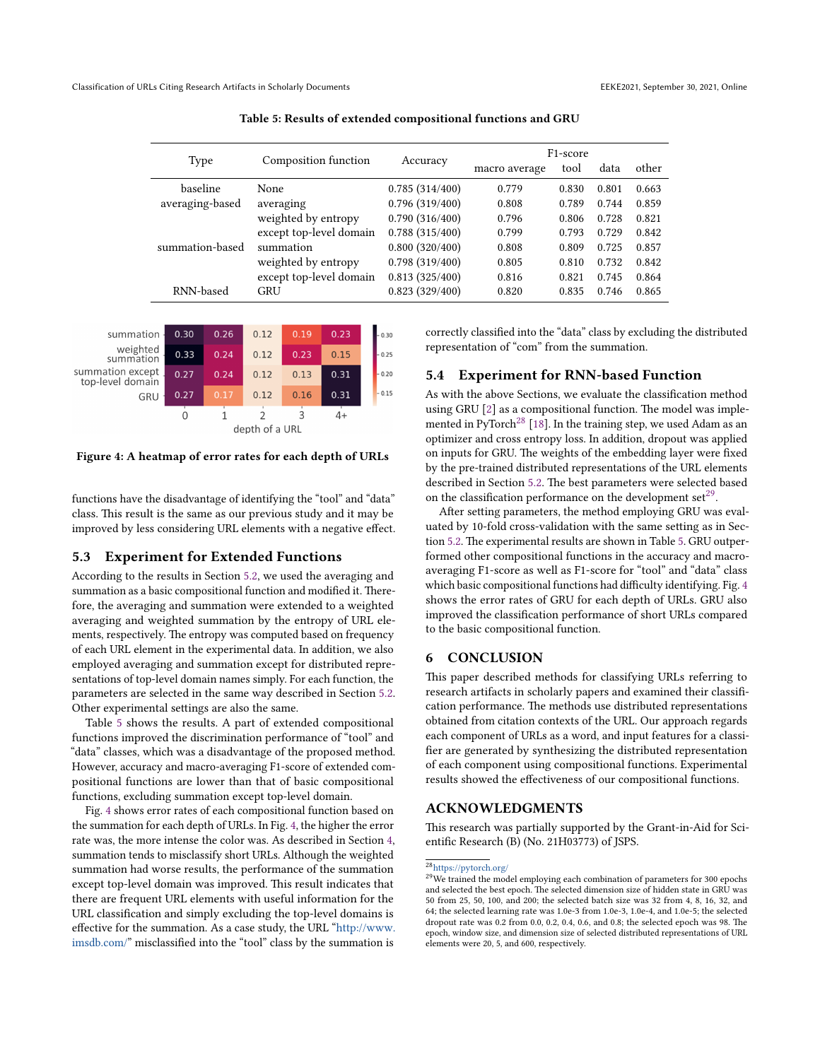<span id="page-4-0"></span>

|                 | Composition function    |                | F <sub>1</sub> -score |       |       |       |
|-----------------|-------------------------|----------------|-----------------------|-------|-------|-------|
| Type            |                         | Accuracy       | macro average         | tool  | data  | other |
| baseline        | None                    | 0.785(314/400) | 0.779                 | 0.830 | 0.801 | 0.663 |
| averaging-based | averaging               | 0.796(319/400) | 0.808                 | 0.789 | 0.744 | 0.859 |
|                 | weighted by entropy     | 0.790(316/400) | 0.796                 | 0.806 | 0.728 | 0.821 |
|                 | except top-level domain | 0.788(315/400) | 0.799                 | 0.793 | 0.729 | 0.842 |
| summation-based | summation               | 0.800(320/400) | 0.808                 | 0.809 | 0.725 | 0.857 |
|                 | weighted by entropy     | 0.798(319/400) | 0.805                 | 0.810 | 0.732 | 0.842 |
|                 | except top-level domain | 0.813(325/400) | 0.816                 | 0.821 | 0.745 | 0.864 |
| RNN-based       | GRU                     | 0.823(329/400) | 0.820                 | 0.835 | 0.746 | 0.865 |
|                 |                         |                |                       |       |       |       |

Table 5: Results of extended compositional functions and GRU

<span id="page-4-1"></span>

Figure 4: A heatmap of error rates for each depth of URLs

functions have the disadvantage of identifying the "tool" and "data" class. This result is the same as our previous study and it may be improved by less considering URL elements with a negative effect.

#### 5.3 Experiment for Extended Functions

According to the results in Section [5.2,](#page-3-11) we used the averaging and summation as a basic compositional function and modified it. Therefore, the averaging and summation were extended to a weighted averaging and weighted summation by the entropy of URL elements, respectively. The entropy was computed based on frequency of each URL element in the experimental data. In addition, we also employed averaging and summation except for distributed representations of top-level domain names simply. For each function, the parameters are selected in the same way described in Section [5.2.](#page-3-11) Other experimental settings are also the same.

Table [5](#page-4-0) shows the results. A part of extended compositional functions improved the discrimination performance of "tool" and "data" classes, which was a disadvantage of the proposed method. However, accuracy and macro-averaging F1-score of extended compositional functions are lower than that of basic compositional functions, excluding summation except top-level domain.

Fig. [4](#page-4-1) shows error rates of each compositional function based on the summation for each depth of URLs. In Fig. [4,](#page-4-1) the higher the error rate was, the more intense the color was. As described in Section [4,](#page-2-4) summation tends to misclassify short URLs. Although the weighted summation had worse results, the performance of the summation except top-level domain was improved. This result indicates that there are frequent URL elements with useful information for the URL classification and simply excluding the top-level domains is effective for the summation. As a case study, the URL ["http://www.](http://www.imsdb.com/) [imsdb.com/"](http://www.imsdb.com/) misclassified into the "tool" class by the summation is

correctly classified into the "data" class by excluding the distributed representation of "com" from the summation.

### 5.4 Experiment for RNN-based Function

As with the above Sections, we evaluate the classification method using GRU [\[2\]](#page-5-26) as a compositional function. The model was imple-mented in PyTorch<sup>[28](#page-4-2)</sup> [\[18\]](#page-5-31). In the training step, we used Adam as an optimizer and cross entropy loss. In addition, dropout was applied on inputs for GRU. The weights of the embedding layer were fixed by the pre-trained distributed representations of the URL elements described in Section [5.2.](#page-3-11) The best parameters were selected based on the classification performance on the development  $set^{29}$  $set^{29}$  $set^{29}$ .

After setting parameters, the method employing GRU was evaluated by 10-fold cross-validation with the same setting as in Section [5.2.](#page-3-11) The experimental results are shown in Table [5.](#page-4-0) GRU outperformed other compositional functions in the accuracy and macroaveraging F1-score as well as F1-score for "tool" and "data" class which basic compositional functions had difficulty identifying. Fig. [4](#page-4-1) shows the error rates of GRU for each depth of URLs. GRU also improved the classification performance of short URLs compared to the basic compositional function.

#### 6 CONCLUSION

This paper described methods for classifying URLs referring to research artifacts in scholarly papers and examined their classification performance. The methods use distributed representations obtained from citation contexts of the URL. Our approach regards each component of URLs as a word, and input features for a classifier are generated by synthesizing the distributed representation of each component using compositional functions. Experimental results showed the effectiveness of our compositional functions.

#### ACKNOWLEDGMENTS

This research was partially supported by the Grant-in-Aid for Scientific Research (B) (No. 21H03773) of JSPS.

## <span id="page-4-2"></span><sup>28</sup><https://pytorch.org/>

<span id="page-4-3"></span><sup>&</sup>lt;sup>29</sup>We trained the model employing each combination of parameters for 300 epochs and selected the best epoch. The selected dimension size of hidden state in GRU was 50 from 25, 50, 100, and 200; the selected batch size was 32 from 4, 8, 16, 32, and 64; the selected learning rate was 1.0e-3 from 1.0e-3, 1.0e-4, and 1.0e-5; the selected dropout rate was 0.2 from 0.0, 0.2, 0.4, 0.6, and 0.8; the selected epoch was 98. The epoch, window size, and dimension size of selected distributed representations of URL elements were 20, 5, and 600, respectively.